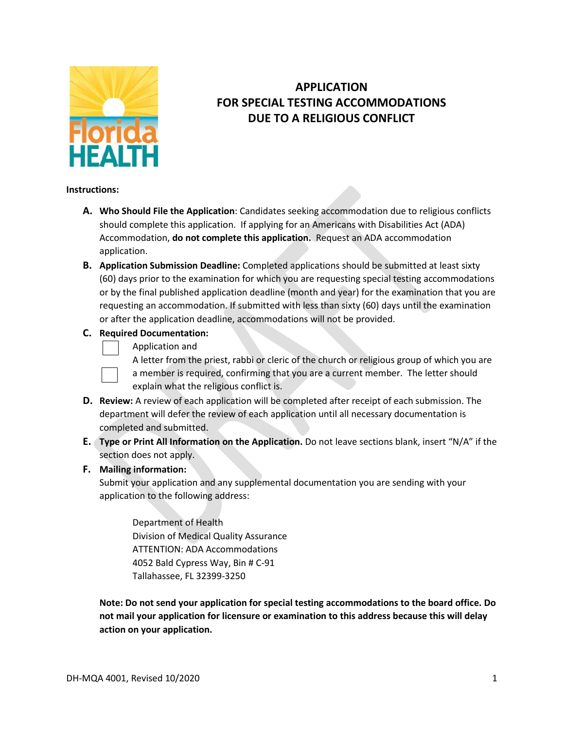

## **APPLICATION FOR SPECIAL TESTING ACCOMMODATIONS DUE TO A RELIGIOUS CONFLICT**

## **Instructions:**

- **A. Who Should File the Application**: Candidates seeking accommodation due to religious conflicts should complete this application. If applying for an Americans with Disabilities Act (ADA) Accommodation, **do not complete this application.** Request an ADA accommodation application.
- **B. Application Submission Deadline:** Completed applications should be submitted at least sixty (60) days prior to the examination for which you are requesting special testing accommodations or by the final published application deadline (month and year) for the examination that you are requesting an accommodation. If submitted with less than sixty (60) days until the examination or after the application deadline, accommodations will not be provided.

## **C. Required Documentation:**

Application and



A letter from the priest, rabbi or cleric of the church or religious group of which you are a member is required, confirming that you are a current member. The letter should explain what the religious conflict is.

- **D. Review:** A review of each application will be completed after receipt of each submission. The department will defer the review of each application until all necessary documentation is completed and submitted.
- **E. Type or Print All Information on the Application.** Do not leave sections blank, insert "N/A" if the section does not apply.

## **F. Mailing information:**

Submit your application and any supplemental documentation you are sending with your application to the following address:

Department of Health Division of Medical Quality Assurance ATTENTION: ADA Accommodations 4052 Bald Cypress Way, Bin # C-91 Tallahassee, FL 32399-3250

**Note: Do not send your application for special testing accommodations to the board office. Do not mail your application for licensure or examination to this address because this will delay action on your application.**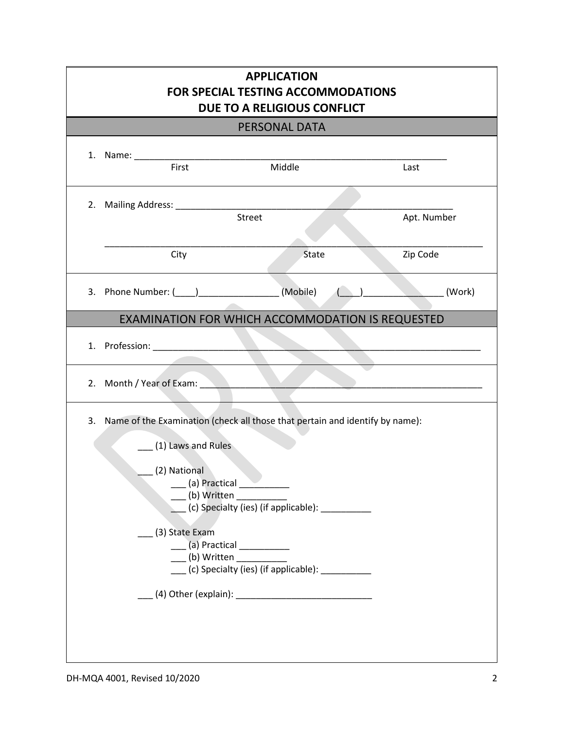| <b>APPLICATION</b><br><b>FOR SPECIAL TESTING ACCOMMODATIONS</b><br>DUE TO A RELIGIOUS CONFLICT<br>PERSONAL DATA |                                                                                                                                                                                                                                                               |             |
|-----------------------------------------------------------------------------------------------------------------|---------------------------------------------------------------------------------------------------------------------------------------------------------------------------------------------------------------------------------------------------------------|-------------|
|                                                                                                                 |                                                                                                                                                                                                                                                               |             |
| 2. Mailing Address: ____________                                                                                | Street                                                                                                                                                                                                                                                        | Apt. Number |
| City                                                                                                            | State                                                                                                                                                                                                                                                         | Zip Code    |
| 3. Phone Number: (____)___________________(Mobile)                                                              |                                                                                                                                                                                                                                                               | (Work)      |
| EXAMINATION FOR WHICH ACCOMMODATION IS REQUESTED                                                                |                                                                                                                                                                                                                                                               |             |
| 1. Profession: New York 1. Profession:                                                                          |                                                                                                                                                                                                                                                               |             |
| Month / Year of Exam: North Month / Year of Exam:<br>2.                                                         | and the control                                                                                                                                                                                                                                               |             |
| 3.<br>(1) Laws and Rules<br>(2) National<br>(3) State Exam                                                      | Name of the Examination (check all those that pertain and identify by name):<br>(b) Written<br>(c) Specialty (ies) (if applicable): ___________<br>____ (a) Practical ___________<br>$\sqrt{a}$ (b) Written<br>(c) Specialty (ies) (if applicable): _________ |             |